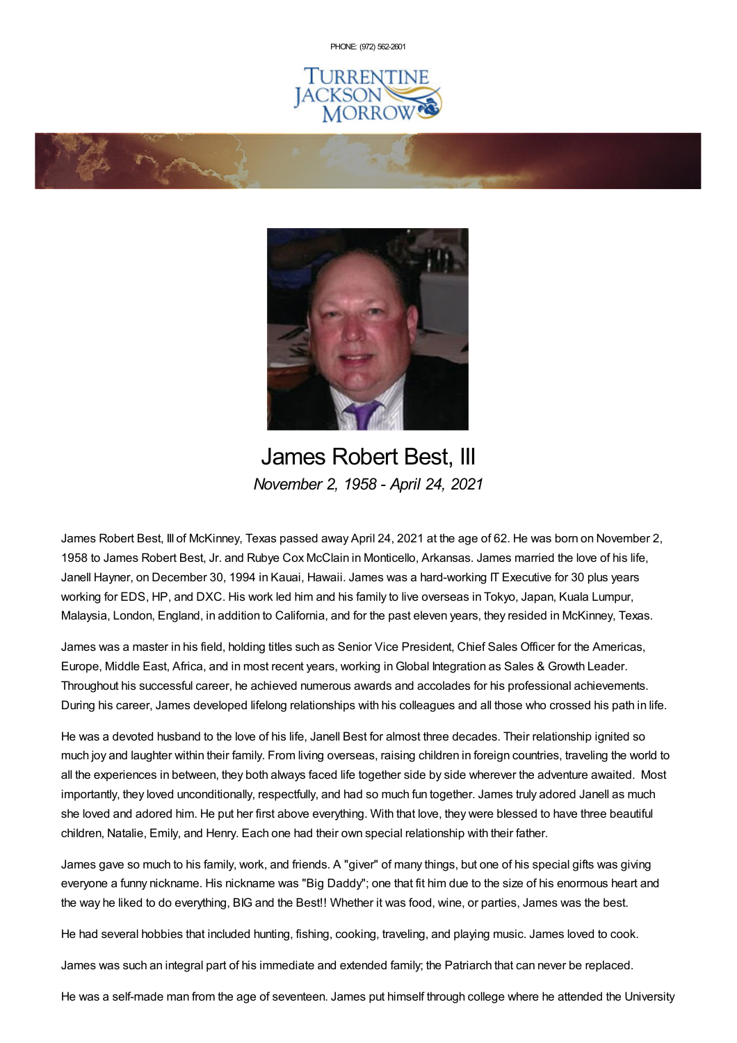PHONE: (972) [562-2601](tel:(972) 562-2601)







James Robert Best, III *November 2, 1958 - April 24, 2021*

James Robert Best, III of McKinney, Texas passed away April 24, 2021 at the age of 62. He was born on November 2, 1958 to James Robert Best, Jr. and Rubye Cox McClain in Monticello, Arkansas. James married the love of his life, Janell Hayner, on December 30, 1994 in Kauai, Hawaii. James was a hard-working IT Executive for 30 plus years working for EDS, HP, and DXC. His work led him and his family to live overseas in Tokyo, Japan, Kuala Lumpur, Malaysia, London, England, in addition to California, and for the past eleven years, they resided in McKinney, Texas.

James was a master in his field, holding titles such as Senior Vice President, Chief Sales Officer for the Americas, Europe, Middle East, Africa, and in most recent years, working inGlobal Integration as Sales & Growth Leader. Throughout his successful career, he achieved numerous awards and accolades for his professional achievements. During his career, James developed lifelong relationships with his colleagues and all those who crossed his path in life.

He was a devoted husband to the love of his life, Janell Best for almost three decades. Their relationship ignited so much joy and laughter within their family. From living overseas, raising children in foreign countries, traveling the world to all the experiences in between, they both always faced life together side by side wherever the adventure awaited. Most importantly, they loved unconditionally, respectfully, and had so much fun together. James truly adored Janell as much she loved and adored him. He put her first above everything. With that love, they were blessed to have three beautiful children, Natalie, Emily, and Henry. Each one had their own special relationship with their father.

James gave so much to his family, work, and friends. A "giver" of many things, but one of his special gifts was giving everyone a funny nickname. His nickname was "Big Daddy"; one that fit him due to the size of his enormous heart and the way he liked to do everything, BIG and the Best!! Whether it was food, wine, or parties, James was the best.

He had several hobbies that included hunting, fishing, cooking, traveling, and playing music. James loved to cook.

James was such an integral part of his immediate and extended family; the Patriarch that can never be replaced.

He was a self-made man from the age of seventeen. James put himself through college where he attended the University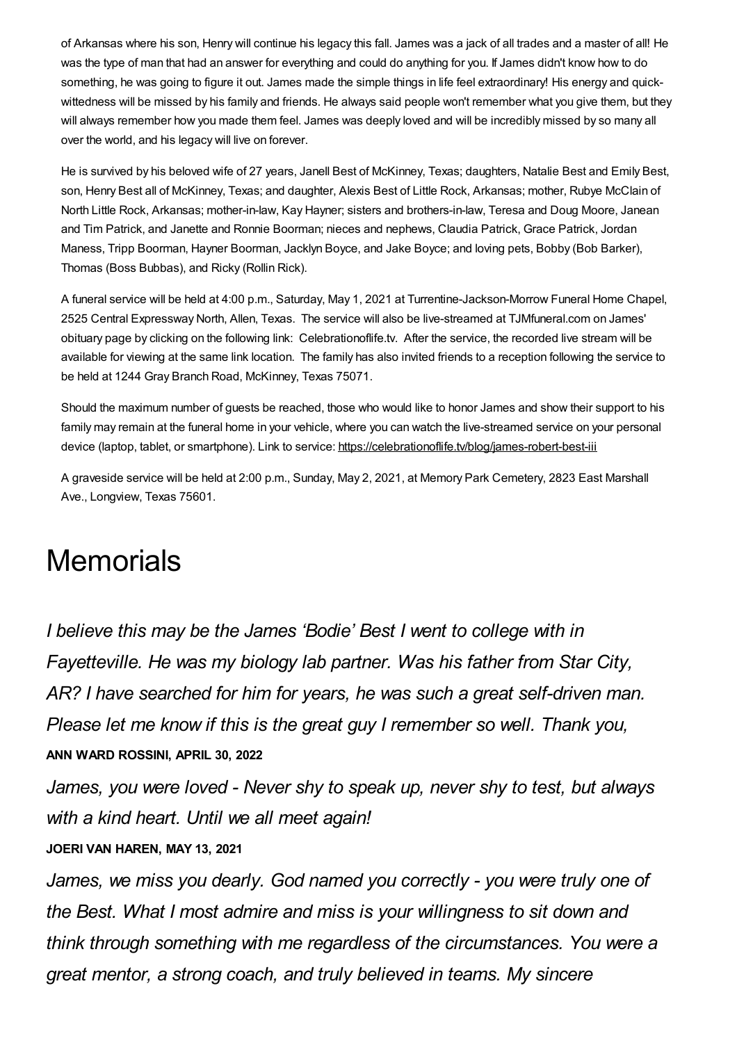of Arkansas where his son, Henry will continue his legacy this fall. James was a jack of all trades and a master of all! He was the type of man that had an answer for everything and could do anything for you. If James didn't know how to do something, he was going to figure it out. James made the simple things in life feel extraordinary! His energy and quickwittedness will be missed by his family and friends. He always said people won't remember what you give them, but they will always remember how you made them feel. James was deeply loved and will be incredibly missed by so many all over the world, and his legacy will live on forever.

He is survived by his beloved wife of 27 years, Janell Best of McKinney, Texas; daughters, Natalie Best and Emily Best, son, Henry Best all of McKinney, Texas; and daughter, Alexis Best of Little Rock, Arkansas; mother, Rubye McClain of North Little Rock, Arkansas; mother-in-law, Kay Hayner; sisters and brothers-in-law, Teresa and Doug Moore, Janean and Tim Patrick, and Janette and Ronnie Boorman; nieces and nephews, Claudia Patrick, Grace Patrick, Jordan Maness, Tripp Boorman, Hayner Boorman, Jacklyn Boyce, and Jake Boyce; and loving pets, Bobby (Bob Barker), Thomas (Boss Bubbas), and Ricky (Rollin Rick).

A funeral service will be held at 4:00 p.m., Saturday, May 1, 2021 at Turrentine-Jackson-Morrow Funeral Home Chapel, 2525 Central Expressway North, Allen, Texas. The service will also be live-streamed at TJMfuneral.com on James' obituary page by clicking on the following link: Celebrationoflife.tv. After the service, the recorded live stream will be available for viewing at the same link location. The family has also invited friends to a reception following the service to be held at 1244 Gray Branch Road, McKinney, Texas 75071.

Should the maximum number of guests be reached, those who would like to honor James and show their support to his family may remain at the funeral home in your vehicle, where you can watch the live-streamed service on your personal device (laptop, tablet, or smartphone). Link to service: <https://celebrationoflife.tv/blog/james-robert-best-iii>

A graveside service will be held at 2:00 p.m., Sunday, May 2, 2021, at Memory Park Cemetery, 2823 East Marshall Ave., Longview, Texas 75601.

# **Memorials**

*I believe this may be the James 'Bodie' Best I went to college with in Fayetteville. He was my biology lab partner. Was his father from Star City, AR? I have searched for him for years, he was such a great self-driven man. Please let me know if this is the great guy I remember so well. Thank you,* **ANN WARD ROSSINI, APRIL 30, 2022**

*James, you were loved - Never shy to speak up, never shy to test, but always with a kind heart. Until we all meet again!*

#### **JOERI VAN HAREN, MAY 13, 2021**

*James, we miss you dearly. God named you correctly - you were truly one of the Best. What I most admire and miss is your willingness to sit down and think through something with me regardless of the circumstances. You were a great mentor, a strong coach, and truly believed in teams. My sincere*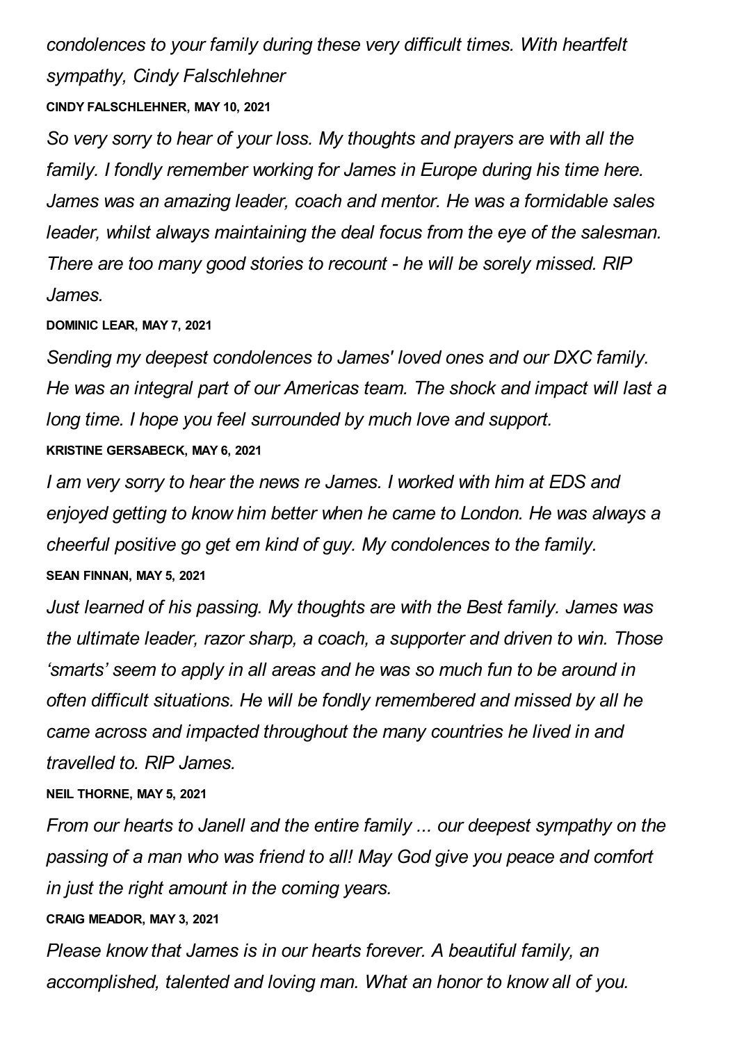*condolences to your family during these very difficult times. With heartfelt sympathy, Cindy Falschlehner*

# **CINDY FALSCHLEHNER, MAY 10, 2021**

*So very sorry to hear of your loss. My thoughts and prayers are with all the family. I fondly remember working for James in Europe during his time here. James was an amazing leader, coach and mentor. He was a formidable sales leader, whilst always maintaining the deal focus from the eye of the salesman. There are too many good stories to recount - he will be sorely missed. RIP James.*

## **DOMINIC LEAR, MAY 7, 2021**

*Sending my deepest condolences to James' loved ones and our DXC family. He was an integral part of our Americas team. The shock and impact will last a long time. I hope you feel surrounded by much love and support.* **KRISTINE GERSABECK, MAY 6, 2021**

*I am very sorry to hear the news re James. I worked with him at EDS and enjoyed getting to know him better when he came to London. He was always a cheerful positive go get em kind of guy. My condolences to the family.* **SEAN FINNAN, MAY 5, 2021**

*Just learned of his passing. My thoughts are with the Best family. James was the ultimate leader, razor sharp, a coach, a supporter and driven to win. Those 'smarts' seem to apply in all areas and he was so much fun to be around in often difficult situations. He will be fondly remembered and missed by all he came across and impacted throughout the many countries he lived in and travelled to. RIP James.*

# **NEIL THORNE, MAY 5, 2021**

*From our hearts to Janell and the entire family ... our deepest sympathy on the passing of a man who was friend to all! May God give you peace and comfort in just the right amount in the coming years.*

#### **CRAIG MEADOR, MAY 3, 2021**

*Please know that James is in our hearts forever. A beautiful family, an accomplished, talented and loving man. What an honor to know all of you.*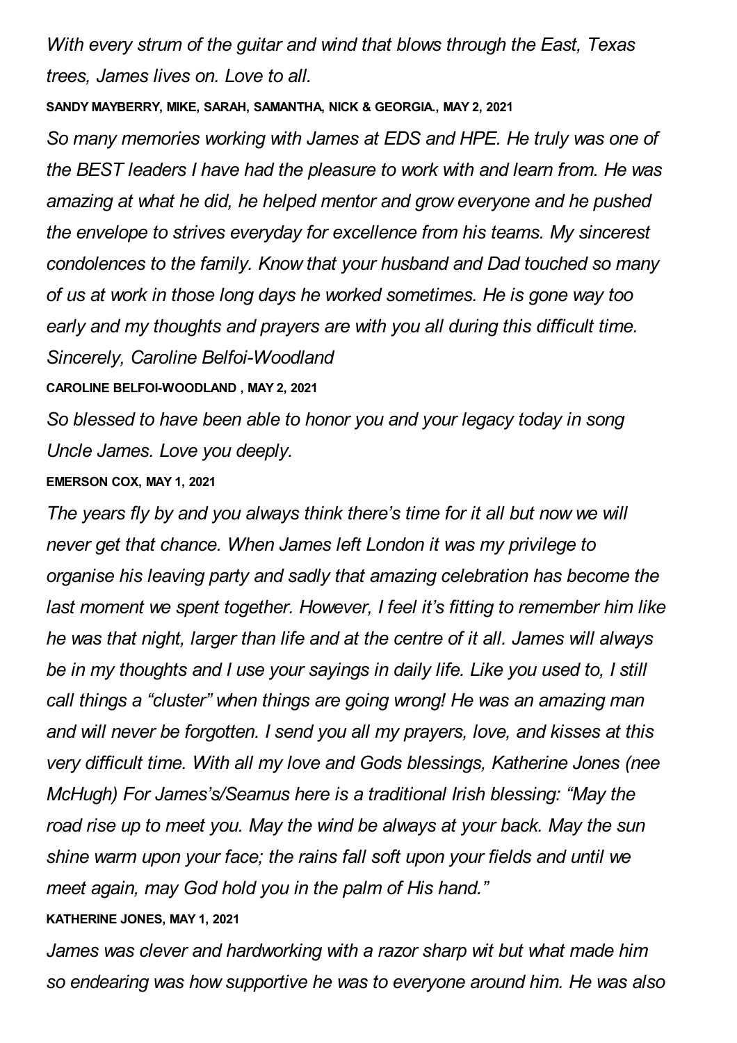*With every strum of the guitar and wind that blows through the East, Texas trees, James lives on. Love to all.*

**SANDY MAYBERRY, MIKE, SARAH, SAMANTHA, NICK & GEORGIA., MAY 2, 2021**

*So many memories working with James at EDS and HPE. He truly was one of the BEST leaders I have had the pleasure to work with and learn from. He was amazing at what he did, he helped mentor and grow everyone and he pushed the envelope to strives everyday for excellence from his teams. My sincerest condolences to the family. Know that your husband and Dad touched so many of us at work in those long days he worked sometimes. He is gone way too early and my thoughts and prayers are with you all during this difficult time. Sincerely, Caroline Belfoi-Woodland*

**CAROLINE BELFOI-WOODLAND , MAY 2, 2021**

*So blessed to have been able to honor you and your legacy today in song Uncle James. Love you deeply.*

## **EMERSON COX, MAY 1, 2021**

*The years fly by and you always think there's time for it all but now we will never get that chance. When James left London it was my privilege to organise his leaving party and sadly that amazing celebration has become the last moment we spent together. However, I feel it's fitting to remember him like he was that night, larger than life and at the centre of it all. James will always be in my thoughts and I use your sayings in daily life. Like you used to, I still call things a "cluster" when things are going wrong! He was an amazing man and will never be forgotten. I send you all my prayers, love, and kisses at this very difficult time. With all my love and Gods blessings, Katherine Jones (nee McHugh) For James's/Seamus here is a traditional Irish blessing: "May the road rise up to meet you. May the wind be always at your back. May the sun shine warm upon your face; the rains fall soft upon your fields and until we meet again, may God hold you in the palm of His hand."*

# **KATHERINE JONES, MAY 1, 2021**

*James was clever and hardworking with a razor sharp wit but what made him so endearing was how supportive he was to everyone around him. He was also*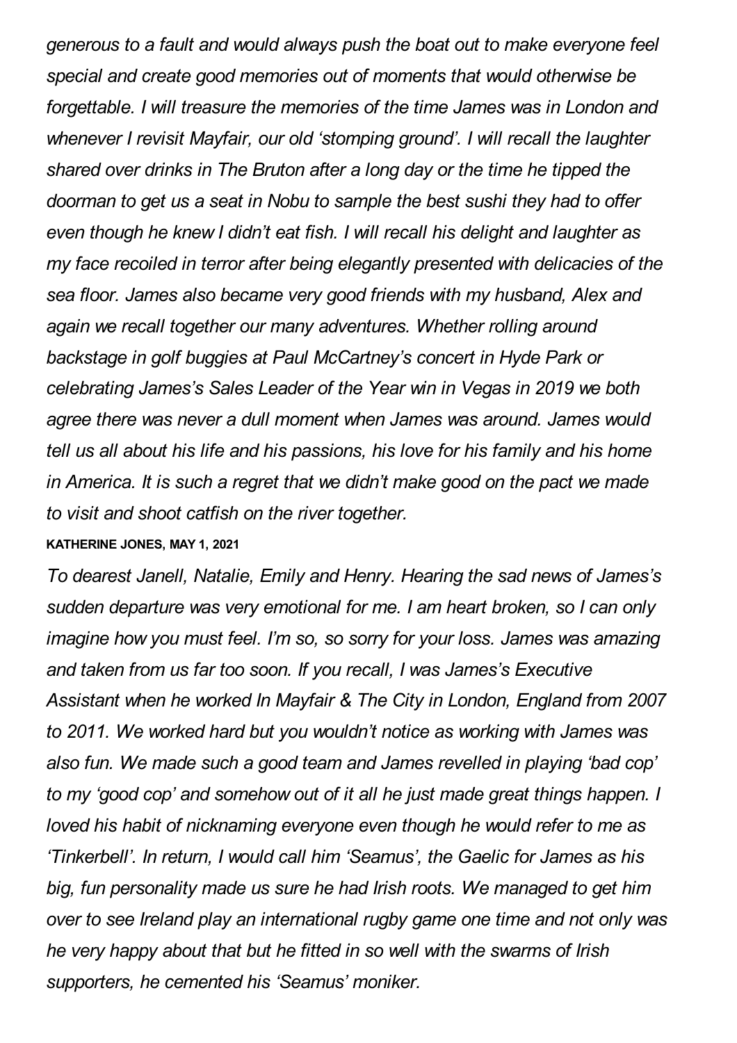*generous to a fault and would always push the boat out to make everyone feel special and create good memories out of moments that would otherwise be forgettable. I will treasure the memories of the time James was in London and whenever I revisit Mayfair, our old 'stomping ground'. I will recall the laughter shared over drinks in The Bruton after a long day or the time he tipped the doorman to get us a seat in Nobu to sample the best sushi they had to offer even though he knew I didn't eat fish. I will recall his delight and laughter as my face recoiled in terror after being elegantly presented with delicacies of the sea floor. James also became very good friends with my husband, Alex and again we recall together our many adventures. Whether rolling around backstage in golf buggies at Paul McCartney's concert in Hyde Park or celebrating James's Sales Leader of the Year win in Vegas in 2019 we both agree there was never a dull moment when James was around. James would tell us all about his life and his passions, his love for his family and his home in America. It is such a regret that we didn't make good on the pact we made to visit and shoot catfish on the river together.*

#### **KATHERINE JONES, MAY 1, 2021**

*To dearest Janell, Natalie, Emily and Henry. Hearing the sad news of James's sudden departure was very emotional for me. I am heart broken, so I can only imagine how you must feel. I'm so, so sorry for your loss. James was amazing and taken from us far too soon. If you recall, I was James's Executive Assistant when he worked In Mayfair & The City in London, England from 2007 to 2011. We worked hard but you wouldn't notice as working with James was also fun. We made such a good team and James revelled in playing 'bad cop' to my 'good cop' and somehow out of it all he just made great things happen. I loved his habit of nicknaming everyone even though he would refer to me as 'Tinkerbell'. In return, I would call him 'Seamus', the Gaelic for James as his big, fun personality made us sure he had Irish roots. We managed to get him over to see Ireland play an international rugby game one time and not only was he very happy about that but he fitted in so well with the swarms of Irish supporters, he cemented his 'Seamus' moniker.*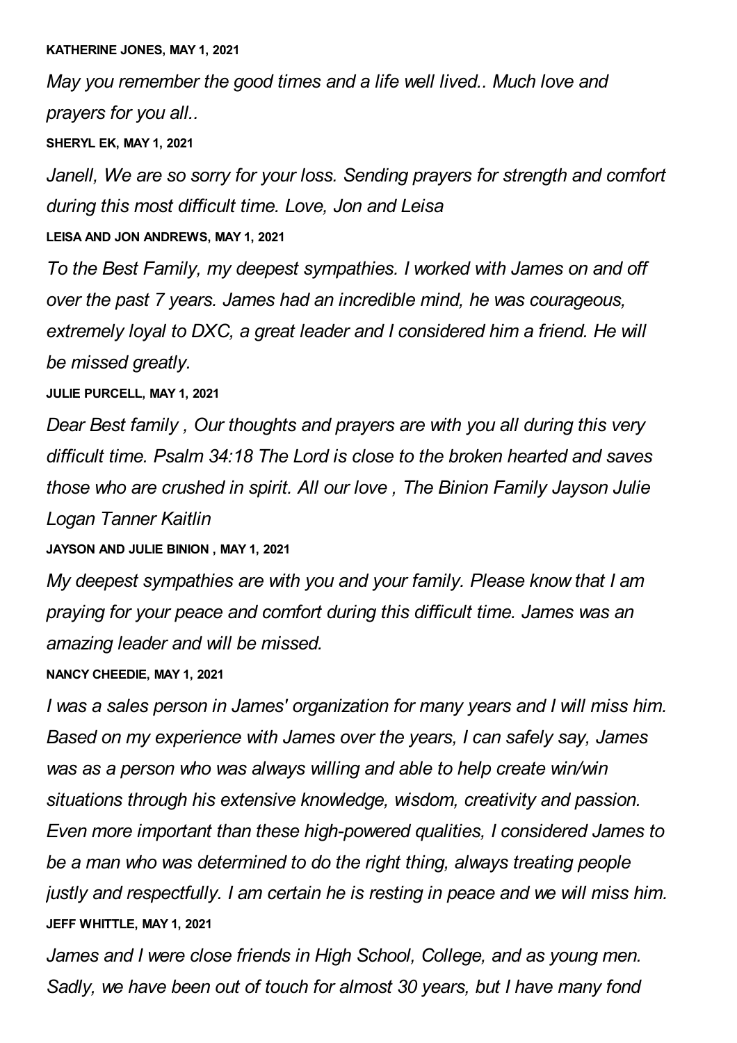*May you remember the good times and a life well lived.. Much love and prayers for you all..*

**SHERYL EK, MAY 1, 2021**

*Janell, We are so sorry for your loss. Sending prayers for strength and comfort during this most difficult time. Love, Jon and Leisa*

**LEISA AND JON ANDREWS, MAY 1, 2021**

*To the Best Family, my deepest sympathies. I worked with James on and off over the past 7 years. James had an incredible mind, he was courageous, extremely loyal to DXC, a great leader and I considered him a friend. He will be missed greatly.*

**JULIE PURCELL, MAY 1, 2021**

*Dear Best family , Our thoughts and prayers are with you all during this very difficult time. Psalm 34:18 The Lord is close to the broken hearted and saves those who are crushed in spirit. All our love , The Binion Family Jayson Julie Logan Tanner Kaitlin*

**JAYSON AND JULIE BINION , MAY 1, 2021**

*My deepest sympathies are with you and your family. Please know that I am praying for your peace and comfort during this difficult time. James was an amazing leader and will be missed.*

**NANCY CHEEDIE, MAY 1, 2021**

*I was a sales person in James' organization for many years and I will miss him. Based on my experience with James over the years, I can safely say, James was as a person who was always willing and able to help create win/win situations through his extensive knowledge, wisdom, creativity and passion. Even more important than these high-powered qualities, I considered James to be a man who was determined to do the right thing, always treating people justly and respectfully. I am certain he is resting in peace and we will miss him.* **JEFF WHITTLE, MAY 1, 2021**

*James and I were close friends in High School, College, and as young men. Sadly, we have been out of touch for almost 30 years, but I have many fond*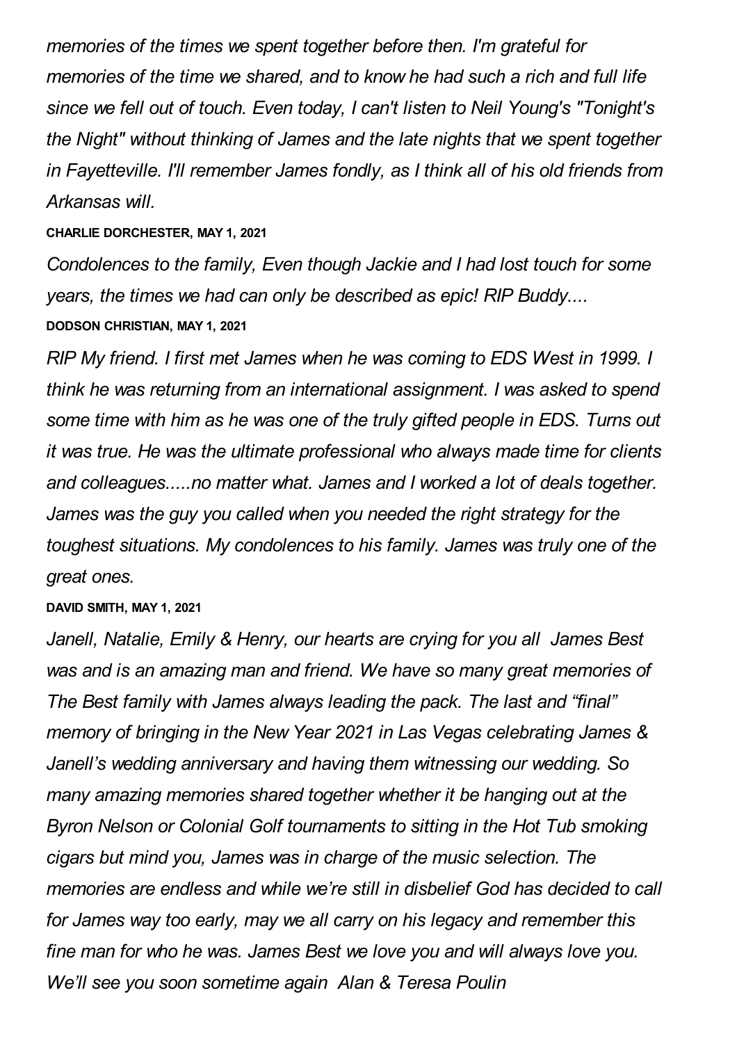*memories of the times we spent together before then. I'm grateful for memories of the time we shared, and to know he had such a rich and full life since we fell out of touch. Even today, I can't listen to Neil Young's "Tonight's the Night" without thinking of James and the late nights that we spent together in Fayetteville. I'll remember James fondly, as I think all of his old friends from Arkansas will.*

**CHARLIE DORCHESTER, MAY 1, 2021**

*Condolences to the family, Even though Jackie and I had lost touch for some years, the times we had can only be described as epic! RIP Buddy....* **DODSON CHRISTIAN, MAY 1, 2021**

*RIP My friend. I first met James when he was coming to EDS West in 1999. I think he was returning from an international assignment. I was asked to spend some time with him as he was one of the truly gifted people in EDS. Turns out it was true. He was the ultimate professional who always made time for clients and colleagues.....no matter what. James and I worked a lot of deals together. James was the guy you called when you needed the right strategy for the toughest situations. My condolences to his family. James was truly one of the great ones.*

#### **DAVID SMITH, MAY 1, 2021**

*Janell, Natalie, Emily & Henry, our hearts are crying for you all James Best was and is an amazing man and friend. We have so many great memories of The Best family with James always leading the pack. The last and "final" memory of bringing in the New Year 2021 in Las Vegas celebrating James & Janell's wedding anniversary and having them witnessing our wedding. So many amazing memories shared together whether it be hanging out at the Byron Nelson or Colonial Golf tournaments to sitting in the Hot Tub smoking cigars but mind you, James was in charge of the music selection. The memories are endless and while we're still in disbelief God has decided to call for James way too early, may we all carry on his legacy and remember this fine man for who he was. James Best we love you and will always love you. We'll see you soon sometime again Alan & Teresa Poulin*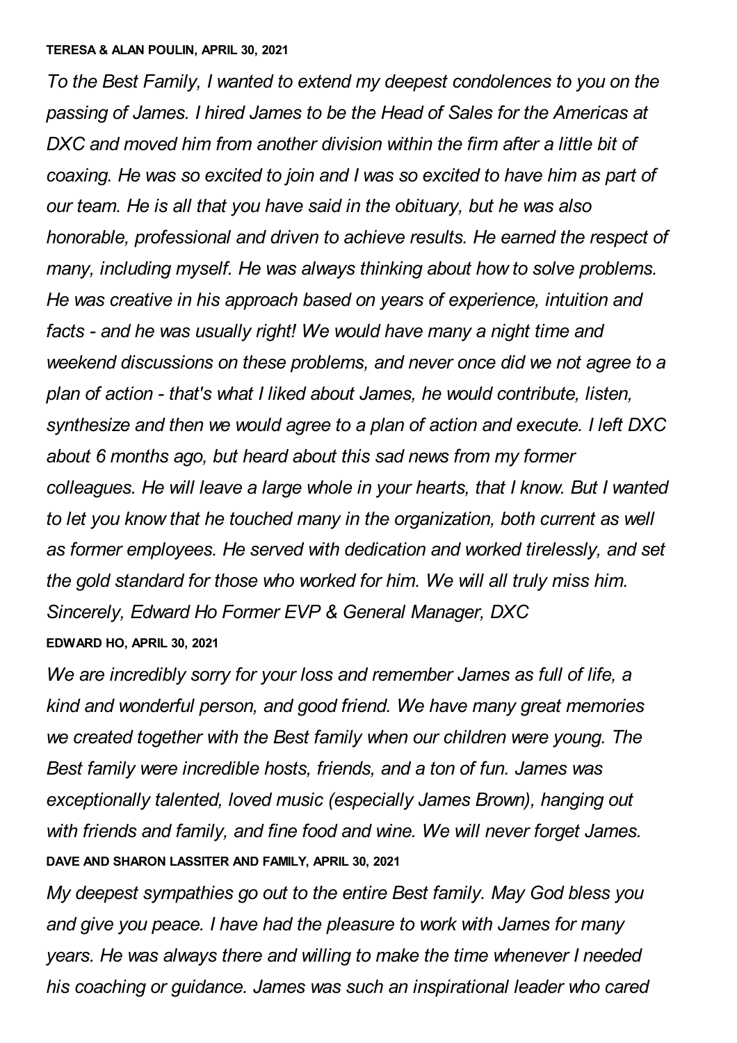#### **TERESA & ALAN POULIN, APRIL 30, 2021**

*To the Best Family, I wanted to extend my deepest condolences to you on the passing of James. I hired James to be the Head of Sales for the Americas at DXC and moved him from another division within the firm after a little bit of coaxing. He was so excited to join and I was so excited to have him as part of our team. He is all that you have said in the obituary, but he was also honorable, professional and driven to achieve results. He earned the respect of many, including myself. He was always thinking about how to solve problems. He was creative in his approach based on years of experience, intuition and facts - and he was usually right! We would have many a night time and weekend discussions on these problems, and never once did we not agree to a plan of action - that's what I liked about James, he would contribute, listen, synthesize and then we would agree to a plan of action and execute. I left DXC about 6 months ago, but heard about this sad news from my former colleagues. He will leave a large whole in your hearts, that I know. But I wanted to let you know that he touched many in the organization, both current as well as former employees. He served with dedication and worked tirelessly, and set the gold standard for those who worked for him. We will all truly miss him. Sincerely, Edward Ho Former EVP & General Manager, DXC* **EDWARD HO, APRIL 30, 2021**

*We are incredibly sorry for your loss and remember James as full of life, a kind and wonderful person, and good friend. We have many great memories we created together with the Best family when our children were young. The Best family were incredible hosts, friends, and a ton of fun. James was exceptionally talented, loved music (especially James Brown), hanging out with friends and family, and fine food and wine. We will never forget James.* **DAVE AND SHARON LASSITER AND FAMILY, APRIL 30, 2021**

*My deepest sympathies go out to the entire Best family. May God bless you and give you peace. I have had the pleasure to work with James for many years. He was always there and willing to make the time whenever I needed his coaching or guidance. James was such an inspirational leader who cared*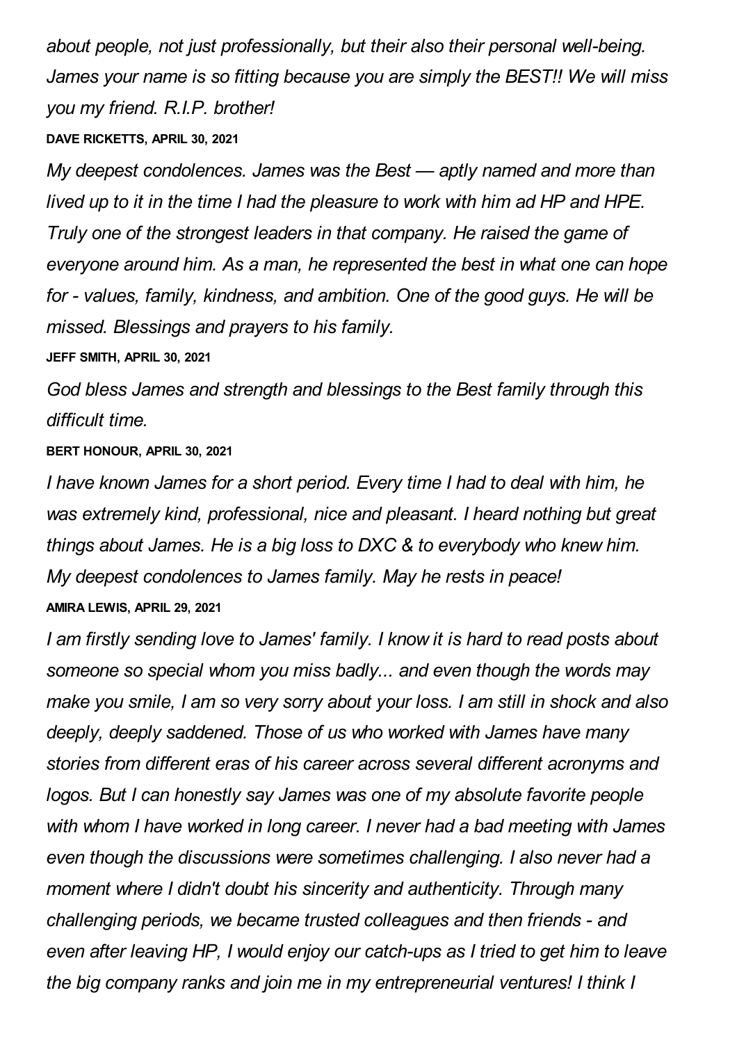*about people, not just professionally, but their also their personal well-being. James your name is so fitting because you are simply the BEST!! We will miss you my friend. R.I.P. brother!*

#### **DAVE RICKETTS, APRIL 30, 2021**

*My deepest condolences. James was the Best — aptly named and more than lived up to it in the time I had the pleasure to work with him ad HP and HPE. Truly one of the strongest leaders in that company. He raised the game of everyone around him. As a man, he represented the best in what one can hope for - values, family, kindness, and ambition. One of the good guys. He will be missed. Blessings and prayers to his family.*

**JEFF SMITH, APRIL 30, 2021**

*God bless James and strength and blessings to the Best family through this difficult time.*

**BERT HONOUR, APRIL 30, 2021**

*I have known James for a short period. Every time I had to deal with him, he was extremely kind, professional, nice and pleasant. I heard nothing but great things about James. He is a big loss to DXC & to everybody who knew him. My deepest condolences to James family. May he rests in peace!* **AMIRA LEWIS, APRIL 29, 2021**

*I am firstly sending love to James' family. I know it is hard to read posts about someone so special whom you miss badly... and even though the words may make you smile, I am so very sorry about your loss. I am still in shock and also deeply, deeply saddened. Those of us who worked with James have many stories from different eras of his career across several different acronyms and logos. But I can honestly say James was one of my absolute favorite people with whom I have worked in long career. I never had a bad meeting with James even though the discussions were sometimes challenging. I also never had a moment where I didn't doubt his sincerity and authenticity. Through many challenging periods, we became trusted colleagues and then friends - and even after leaving HP, I would enjoy our catch-ups as I tried to get him to leave the big company ranks and join me in my entrepreneurial ventures! I think I*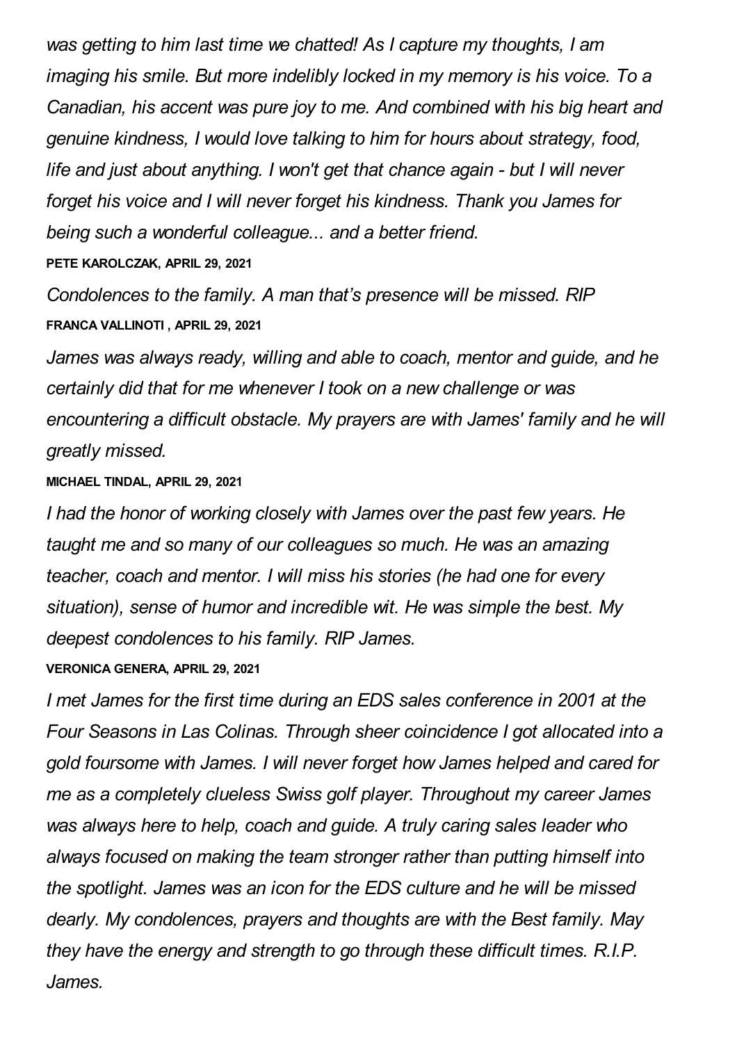*was getting to him last time we chatted! As I capture my thoughts, I am imaging his smile. But more indelibly locked in my memory is his voice. To a Canadian, his accent was pure joy to me. And combined with his big heart and genuine kindness, I would love talking to him for hours about strategy, food, life and just about anything. I won't get that chance again - but I will never forget his voice and I will never forget his kindness. Thank you James for being such a wonderful colleague... and a better friend.*

**PETE KAROLCZAK, APRIL 29, 2021**

*Condolences to the family. A man that's presence will be missed. RIP* **FRANCA VALLINOTI , APRIL 29, 2021**

*James was always ready, willing and able to coach, mentor and guide, and he certainly did that for me whenever I took on a new challenge or was encountering a difficult obstacle. My prayers are with James' family and he will greatly missed.*

**MICHAEL TINDAL, APRIL 29, 2021**

*I had the honor of working closely with James over the past few years. He taught me and so many of our colleagues so much. He was an amazing teacher, coach and mentor. I will miss his stories (he had one for every situation), sense of humor and incredible wit. He was simple the best. My deepest condolences to his family. RIP James.*

**VERONICA GENERA, APRIL 29, 2021**

*I met James for the first time during an EDS sales conference in 2001 at the Four Seasons in Las Colinas. Through sheer coincidence I got allocated into a gold foursome with James. I will never forget how James helped and cared for me as a completely clueless Swiss golf player. Throughout my career James was always here to help, coach and guide. A truly caring sales leader who always focused on making the team stronger rather than putting himself into the spotlight. James was an icon for the EDS culture and he will be missed dearly. My condolences, prayers and thoughts are with the Best family. May they have the energy and strength to go through these difficult times. R.I.P. James.*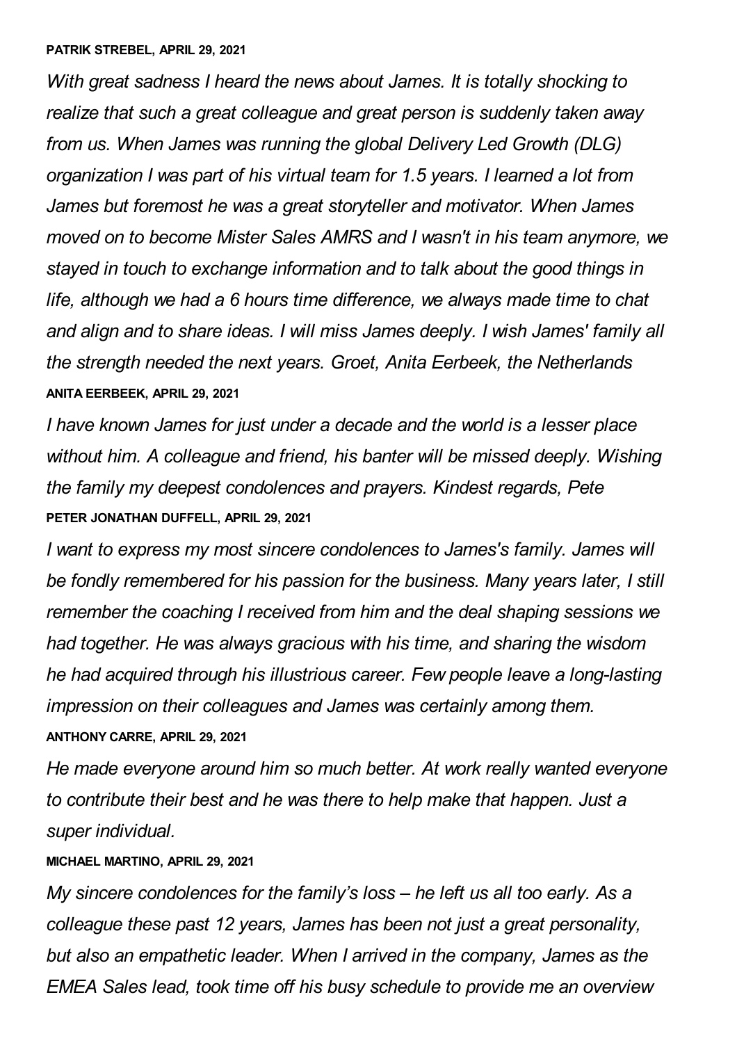*With great sadness I heard the news about James. It is totally shocking to realize that such a great colleague and great person is suddenly taken away from us. When James was running the global Delivery Led Growth (DLG) organization I was part of his virtual team for 1.5 years. I learned a lot from James but foremost he was a great storyteller and motivator. When James moved on to become Mister Sales AMRS and I wasn't in his team anymore, we stayed in touch to exchange information and to talk about the good things in life, although we had a 6 hours time difference, we always made time to chat and align and to share ideas. I will miss James deeply. I wish James' family all the strength needed the next years. Groet, Anita Eerbeek, the Netherlands* **ANITA EERBEEK, APRIL 29, 2021**

*I have known James for just under a decade and the world is a lesser place without him. A colleague and friend, his banter will be missed deeply. Wishing the family my deepest condolences and prayers. Kindest regards, Pete* **PETER JONATHAN DUFFELL, APRIL 29, 2021**

*I want to express my most sincere condolences to James's family. James will be fondly remembered for his passion for the business. Many years later, I still remember the coaching I received from him and the deal shaping sessions we had together. He was always gracious with his time, and sharing the wisdom he had acquired through his illustrious career. Few people leave a long-lasting impression on their colleagues and James was certainly among them.* **ANTHONY CARRE, APRIL 29, 2021**

*He made everyone around him so much better. At work really wanted everyone to contribute their best and he was there to help make that happen. Just a super individual.*

# **MICHAEL MARTINO, APRIL 29, 2021**

*My sincere condolences for the family's loss – he left us all too early. As a colleague these past 12 years, James has been not just a great personality, but also an empathetic leader. When I arrived in the company, James as the EMEA Sales lead, took time off his busy schedule to provide me an overview*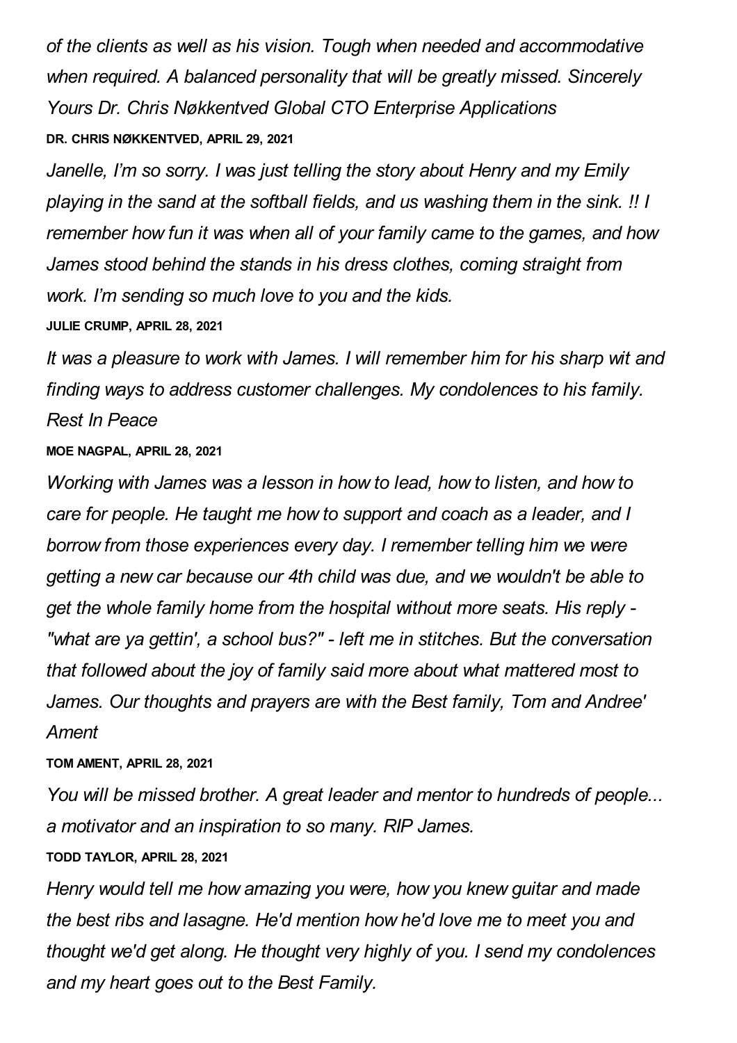*of the clients as well as his vision. Tough when needed and accommodative when required. A balanced personality that will be greatly missed. Sincerely Yours Dr. Chris Nøkkentved Global CTO Enterprise Applications* **DR. CHRIS NØKKENTVED, APRIL 29, 2021**

*Janelle, I'm so sorry. I was just telling the story about Henry and my Emily playing in the sand at the softball fields, and us washing them in the sink. !! I remember how fun it was when all of your family came to the games, and how James stood behind the stands in his dress clothes, coming straight from work. I'm sending so much love to you and the kids.*

**JULIE CRUMP, APRIL 28, 2021**

*It was a pleasure to work with James. I will remember him for his sharp wit and finding ways to address customer challenges. My condolences to his family. Rest In Peace*

**MOE NAGPAL, APRIL 28, 2021**

*Working with James was a lesson in how to lead, how to listen, and how to care for people. He taught me how to support and coach as a leader, and I borrow from those experiences every day. I remember telling him we were getting a new car because our 4th child was due, and we wouldn't be able to get the whole family home from the hospital without more seats. His reply - "what are ya gettin', a school bus?" - left me in stitches. But the conversation that followed about the joy of family said more about what mattered most to James. Our thoughts and prayers are with the Best family, Tom and Andree' Ament*

**TOM AMENT, APRIL 28, 2021**

*You will be missed brother. A great leader and mentor to hundreds of people... a motivator and an inspiration to so many. RIP James.*

**TODD TAYLOR, APRIL 28, 2021**

*Henry would tell me how amazing you were, how you knew guitar and made the best ribs and lasagne. He'd mention how he'd love me to meet you and thought we'd get along. He thought very highly of you. I send my condolences and my heart goes out to the Best Family.*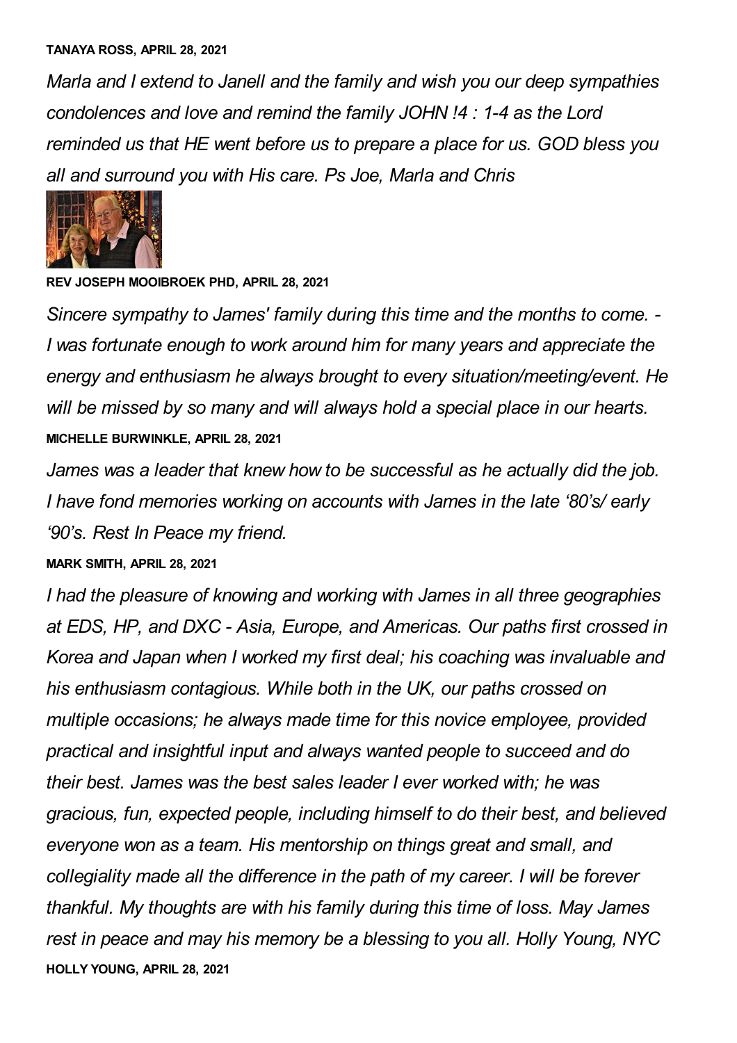#### **TANAYA ROSS, APRIL 28, 2021**

*Marla and I extend to Janell and the family and wish you our deep sympathies condolences and love and remind the family JOHN !4 : 1-4 as the Lord reminded us that HE went before us to prepare a place for us. GOD bless you all and surround you with His care. Ps Joe, Marla and Chris*



**REV JOSEPH MOOIBROEK PHD, APRIL 28, 2021**

*Sincere sympathy to James' family during this time and the months to come. - I was fortunate enough to work around him for many years and appreciate the energy and enthusiasm he always brought to every situation/meeting/event. He will be missed by so many and will always hold a special place in our hearts.* **MICHELLE BURWINKLE, APRIL 28, 2021**

*James was a leader that knew how to be successful as he actually did the job. I have fond memories working on accounts with James in the late '80's/ early '90's. Rest In Peace my friend.*

#### **MARK SMITH, APRIL 28, 2021**

*I had the pleasure of knowing and working with James in all three geographies at EDS, HP, and DXC - Asia, Europe, and Americas. Our paths first crossed in Korea and Japan when I worked my first deal; his coaching was invaluable and his enthusiasm contagious. While both in the UK, our paths crossed on multiple occasions; he always made time for this novice employee, provided practical and insightful input and always wanted people to succeed and do their best. James was the best sales leader I ever worked with; he was gracious, fun, expected people, including himself to do their best, and believed everyone won as a team. His mentorship on things great and small, and collegiality made all the difference in the path of my career. I will be forever thankful. My thoughts are with his family during this time of loss. May James rest in peace and may his memory be a blessing to you all. Holly Young, NYC* **HOLLY YOUNG, APRIL 28, 2021**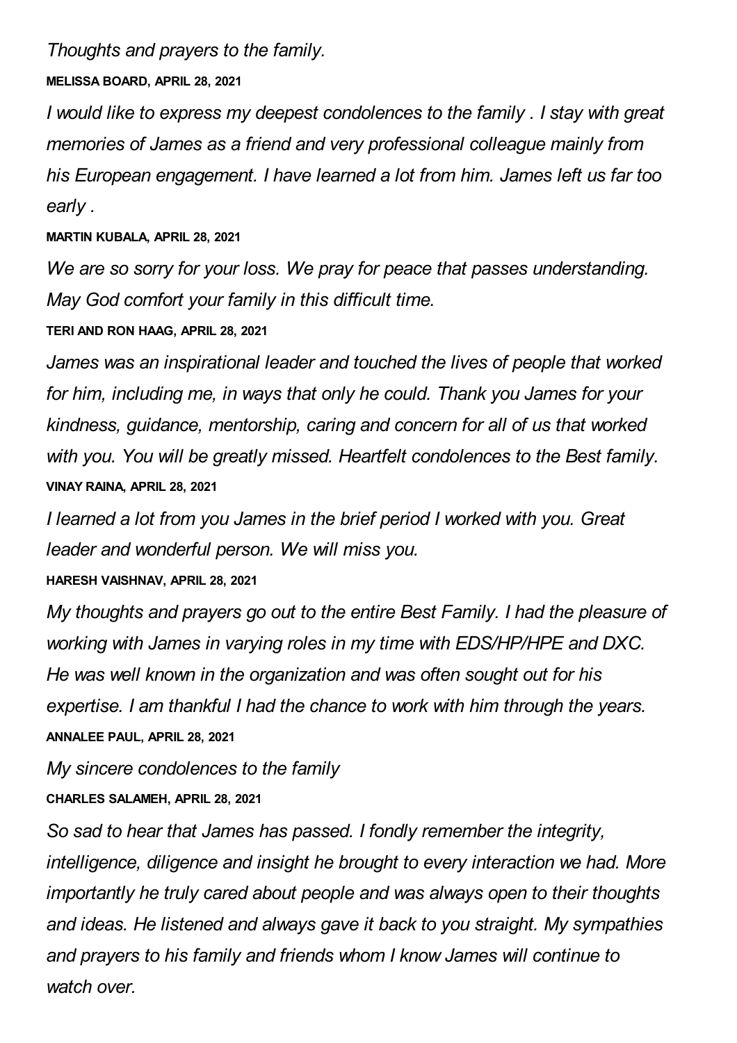*Thoughts and prayers to the family.*

**MELISSA BOARD, APRIL 28, 2021**

*I would like to express my deepest condolences to the family . I stay with great memories of James as a friend and very professional colleague mainly from his European engagement. I have learned a lot from him. James left us far too early .*

# **MARTIN KUBALA, APRIL 28, 2021**

*We are so sorry for your loss. We pray for peace that passes understanding. May God comfort your family in this difficult time.*

**TERI AND RON HAAG, APRIL 28, 2021**

*James was an inspirational leader and touched the lives of people that worked for him, including me, in ways that only he could. Thank you James for your kindness, guidance, mentorship, caring and concern for all of us that worked with you. You will be greatly missed. Heartfelt condolences to the Best family.* **VINAY RAINA, APRIL 28, 2021**

*I learned a lot from you James in the brief period I worked with you. Great leader and wonderful person. We will miss you.*

**HARESH VAISHNAV, APRIL 28, 2021**

*My thoughts and prayers go out to the entire Best Family. I had the pleasure of working with James in varying roles in my time with EDS/HP/HPE and DXC. He was well known in the organization and was often sought out for his expertise. I am thankful I had the chance to work with him through the years.* **ANNALEE PAUL, APRIL 28, 2021**

*My sincere condolences to the family* **CHARLES SALAMEH, APRIL 28, 2021**

*So sad to hear that James has passed. I fondly remember the integrity, intelligence, diligence and insight he brought to every interaction we had. More importantly he truly cared about people and was always open to their thoughts and ideas. He listened and always gave it back to you straight. My sympathies and prayers to his family and friends whom I know James will continue to watch over.*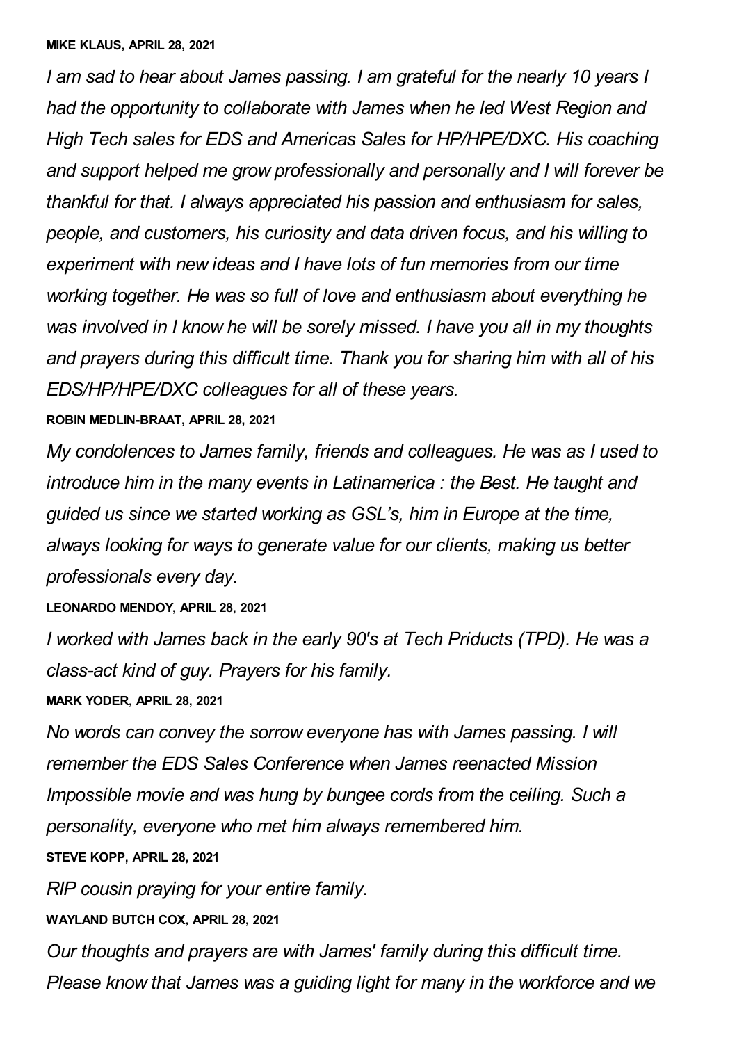*I am sad to hear about James passing. I am grateful for the nearly 10 years I had the opportunity to collaborate with James when he led West Region and High Tech sales for EDS and Americas Sales for HP/HPE/DXC. His coaching and support helped me grow professionally and personally and I will forever be thankful for that. I always appreciated his passion and enthusiasm for sales, people, and customers, his curiosity and data driven focus, and his willing to experiment with new ideas and I have lots of fun memories from our time working together. He was so full of love and enthusiasm about everything he was involved in I know he will be sorely missed. I have you all in my thoughts and prayers during this difficult time. Thank you for sharing him with all of his EDS/HP/HPE/DXC colleagues for all of these years.*

#### **ROBIN MEDLIN-BRAAT, APRIL 28, 2021**

*My condolences to James family, friends and colleagues. He was as I used to introduce him in the many events in Latinamerica : the Best. He taught and guided us since we started working as GSL's, him in Europe at the time, always looking for ways to generate value for our clients, making us better professionals every day.*

**LEONARDO MENDOY, APRIL 28, 2021**

*I worked with James back in the early 90's at Tech Priducts (TPD). He was a class-act kind of guy. Prayers for his family.*

**MARK YODER, APRIL 28, 2021**

*No words can convey the sorrow everyone has with James passing. I will remember the EDS Sales Conference when James reenacted Mission Impossible movie and was hung by bungee cords from the ceiling. Such a personality, everyone who met him always remembered him.* **STEVE KOPP, APRIL 28, 2021**

*RIP cousin praying for your entire family.*

**WAYLAND BUTCH COX, APRIL 28, 2021**

*Our thoughts and prayers are with James' family during this difficult time. Please know that James was a guiding light for many in the workforce and we*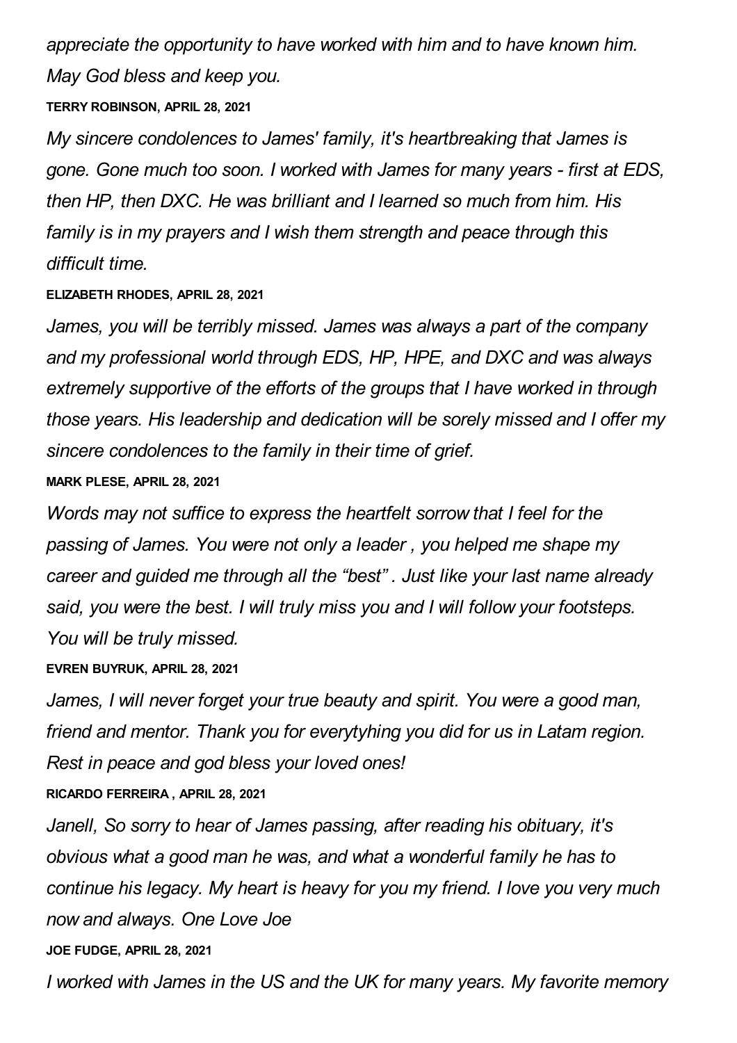*appreciate the opportunity to have worked with him and to have known him. May God bless and keep you.*

# **TERRY ROBINSON, APRIL 28, 2021**

*My sincere condolences to James' family, it's heartbreaking that James is gone. Gone much too soon. I worked with James for many years - first at EDS, then HP, then DXC. He was brilliant and I learned so much from him. His family is in my prayers and I wish them strength and peace through this difficult time.*

## **ELIZABETH RHODES, APRIL 28, 2021**

*James, you will be terribly missed. James was always a part of the company and my professional world through EDS, HP, HPE, and DXC and was always extremely supportive of the efforts of the groups that I have worked in through those years. His leadership and dedication will be sorely missed and I offer my sincere condolences to the family in their time of grief.*

## **MARK PLESE, APRIL 28, 2021**

*Words may not suffice to express the heartfelt sorrow that I feel for the passing of James. You were not only a leader , you helped me shape my career and guided me through all the "best" . Just like your last name already said, you were the best. I will truly miss you and I will follow your footsteps. You will be truly missed.*

# **EVREN BUYRUK, APRIL 28, 2021**

*James, I will never forget your true beauty and spirit. You were a good man, friend and mentor. Thank you for everytyhing you did for us in Latam region. Rest in peace and god bless your loved ones!*

**RICARDO FERREIRA , APRIL 28, 2021**

*Janell, So sorry to hear of James passing, after reading his obituary, it's obvious what a good man he was, and what a wonderful family he has to continue his legacy. My heart is heavy for you my friend. I love you very much now and always. One Love Joe* **JOE FUDGE, APRIL 28, 2021**

*I worked with James in the US and the UK for many years. My favorite memory*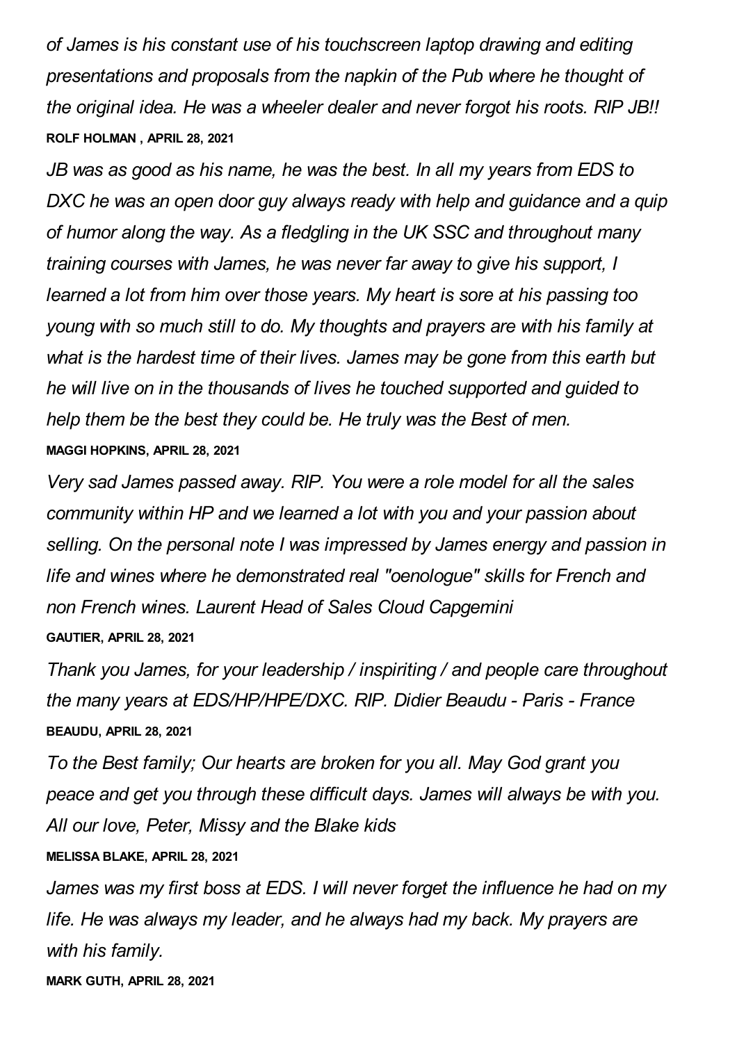*of James is his constant use of his touchscreen laptop drawing and editing presentations and proposals from the napkin of the Pub where he thought of the original idea. He was a wheeler dealer and never forgot his roots. RIP JB!!* **ROLF HOLMAN , APRIL 28, 2021**

*JB was as good as his name, he was the best. In all my years from EDS to DXC he was an open door guy always ready with help and guidance and a quip of humor along the way. As a fledgling in the UK SSC and throughout many training courses with James, he was never far away to give his support, I learned a lot from him over those years. My heart is sore at his passing too young with so much still to do. My thoughts and prayers are with his family at what is the hardest time of their lives. James may be gone from this earth but he will live on in the thousands of lives he touched supported and guided to help them be the best they could be. He truly was the Best of men.* **MAGGI HOPKINS, APRIL 28, 2021**

*Very sad James passed away. RIP. You were a role model for all the sales community within HP and we learned a lot with you and your passion about selling. On the personal note I was impressed by James energy and passion in life and wines where he demonstrated real "oenologue" skills for French and non French wines. Laurent Head of Sales Cloud Capgemini* **GAUTIER, APRIL 28, 2021**

*Thank you James, for your leadership / inspiriting / and people care throughout the many years at EDS/HP/HPE/DXC. RIP. Didier Beaudu - Paris - France* **BEAUDU, APRIL 28, 2021**

*To the Best family; Our hearts are broken for you all. May God grant you peace and get you through these difficult days. James will always be with you. All our love, Peter, Missy and the Blake kids* **MELISSA BLAKE, APRIL 28, 2021**

*James was my first boss at EDS. I will never forget the influence he had on my life. He was always my leader, and he always had my back. My prayers are with his family.*

**MARK GUTH, APRIL 28, 2021**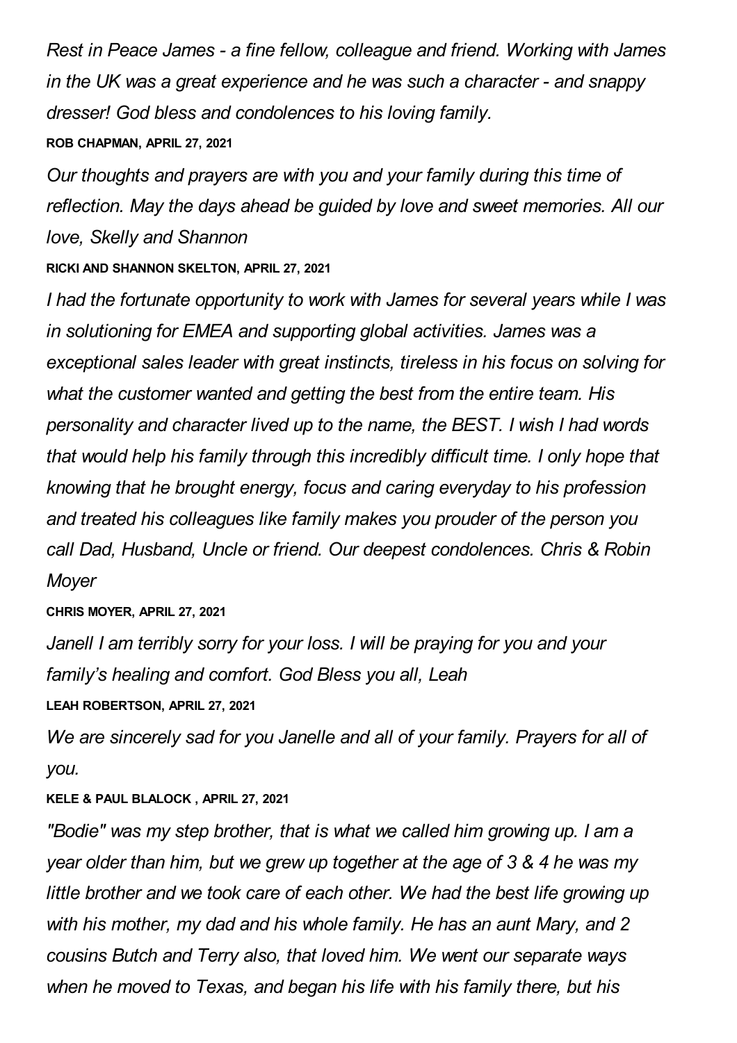*Rest in Peace James - a fine fellow, colleague and friend. Working with James in the UK was a great experience and he was such a character - and snappy dresser! God bless and condolences to his loving family.*

# **ROB CHAPMAN, APRIL 27, 2021**

*Our thoughts and prayers are with you and your family during this time of reflection. May the days ahead be guided by love and sweet memories. All our love, Skelly and Shannon*

# **RICKI AND SHANNON SKELTON, APRIL 27, 2021**

*I had the fortunate opportunity to work with James for several years while I was in solutioning for EMEA and supporting global activities. James was a exceptional sales leader with great instincts, tireless in his focus on solving for what the customer wanted and getting the best from the entire team. His personality and character lived up to the name, the BEST. I wish I had words that would help his family through this incredibly difficult time. I only hope that knowing that he brought energy, focus and caring everyday to his profession and treated his colleagues like family makes you prouder of the person you call Dad, Husband, Uncle or friend. Our deepest condolences. Chris & Robin Moyer*

# **CHRIS MOYER, APRIL 27, 2021**

*Janell I am terribly sorry for your loss. I will be praying for you and your family's healing and comfort. God Bless you all, Leah*

**LEAH ROBERTSON, APRIL 27, 2021**

*We are sincerely sad for you Janelle and all of your family. Prayers for all of you.*

# **KELE & PAUL BLALOCK , APRIL 27, 2021**

*"Bodie" was my step brother, that is what we called him growing up. I am a year older than him, but we grew up together at the age of 3 & 4 he was my little brother and we took care of each other. We had the best life growing up with his mother, my dad and his whole family. He has an aunt Mary, and 2 cousins Butch and Terry also, that loved him. We went our separate ways when he moved to Texas, and began his life with his family there, but his*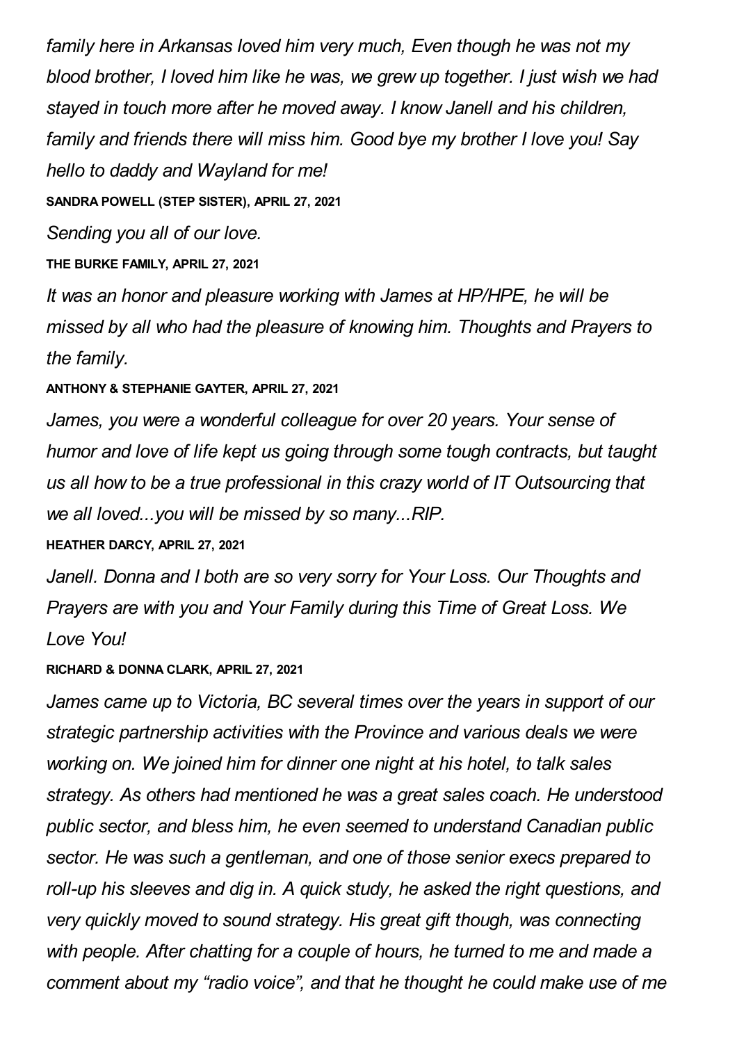*family here in Arkansas loved him very much, Even though he was not my blood brother, I loved him like he was, we grew up together. I just wish we had stayed in touch more after he moved away. I know Janell and his children, family and friends there will miss him. Good bye my brother I love you! Say hello to daddy and Wayland for me!*

**SANDRA POWELL (STEP SISTER), APRIL 27, 2021**

*Sending you all of our love.*

**THE BURKE FAMILY, APRIL 27, 2021**

*It was an honor and pleasure working with James at HP/HPE, he will be missed by all who had the pleasure of knowing him. Thoughts and Prayers to the family.*

# **ANTHONY & STEPHANIE GAYTER, APRIL 27, 2021**

*James, you were a wonderful colleague for over 20 years. Your sense of humor and love of life kept us going through some tough contracts, but taught us all how to be a true professional in this crazy world of IT Outsourcing that we all loved...you will be missed by so many...RIP.*

# **HEATHER DARCY, APRIL 27, 2021**

*Janell. Donna and I both are so very sorry for Your Loss. Our Thoughts and Prayers are with you and Your Family during this Time of Great Loss. We Love You!*

#### **RICHARD & DONNA CLARK, APRIL 27, 2021**

*James came up to Victoria, BC several times over the years in support of our strategic partnership activities with the Province and various deals we were working on. We joined him for dinner one night at his hotel, to talk sales strategy. As others had mentioned he was a great sales coach. He understood public sector, and bless him, he even seemed to understand Canadian public sector. He was such a gentleman, and one of those senior execs prepared to roll-up his sleeves and dig in. A quick study, he asked the right questions, and very quickly moved to sound strategy. His great gift though, was connecting with people. After chatting for a couple of hours, he turned to me and made a comment about my "radio voice", and that he thought he could make use of me*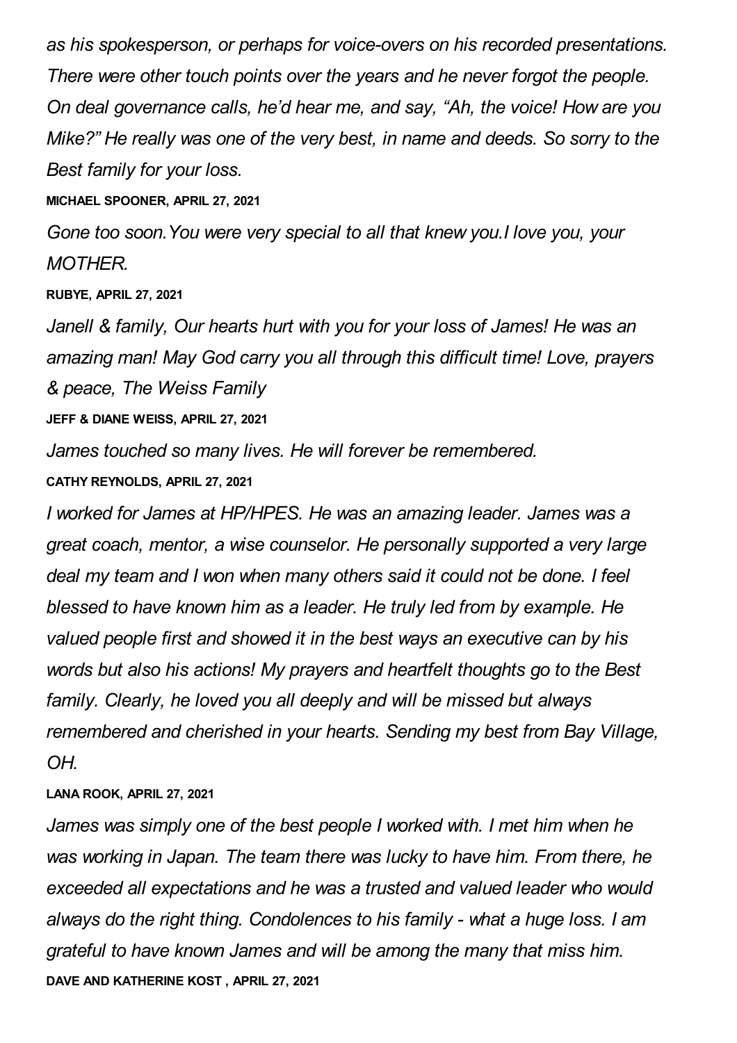*as his spokesperson, or perhaps for voice-overs on his recorded presentations. There were other touch points over the years and he never forgot the people. On deal governance calls, he'd hear me, and say, "Ah, the voice! How are you Mike?" He really was one of the very best, in name and deeds. So sorry to the Best family for your loss.*

**MICHAEL SPOONER, APRIL 27, 2021**

*Gone too soon.You were very special to all that knew you.I love you, your MOTHER.*

**RUBYE, APRIL 27, 2021**

*Janell & family, Our hearts hurt with you for your loss of James! He was an amazing man! May God carry you all through this difficult time! Love, prayers & peace, The Weiss Family*

**JEFF & DIANE WEISS, APRIL 27, 2021**

*James touched so many lives. He will forever be remembered.*

**CATHY REYNOLDS, APRIL 27, 2021**

*I worked for James at HP/HPES. He was an amazing leader. James was a great coach, mentor, a wise counselor. He personally supported a very large deal my team and I won when many others said it could not be done. I feel blessed to have known him as a leader. He truly led from by example. He valued people first and showed it in the best ways an executive can by his words but also his actions! My prayers and heartfelt thoughts go to the Best family. Clearly, he loved you all deeply and will be missed but always remembered and cherished in your hearts. Sending my best from Bay Village, OH.*

**LANA ROOK, APRIL 27, 2021**

*James was simply one of the best people I worked with. I met him when he was working in Japan. The team there was lucky to have him. From there, he exceeded all expectations and he was a trusted and valued leader who would always do the right thing. Condolences to his family - what a huge loss. I am grateful to have known James and will be among the many that miss him.* **DAVE AND KATHERINE KOST , APRIL 27, 2021**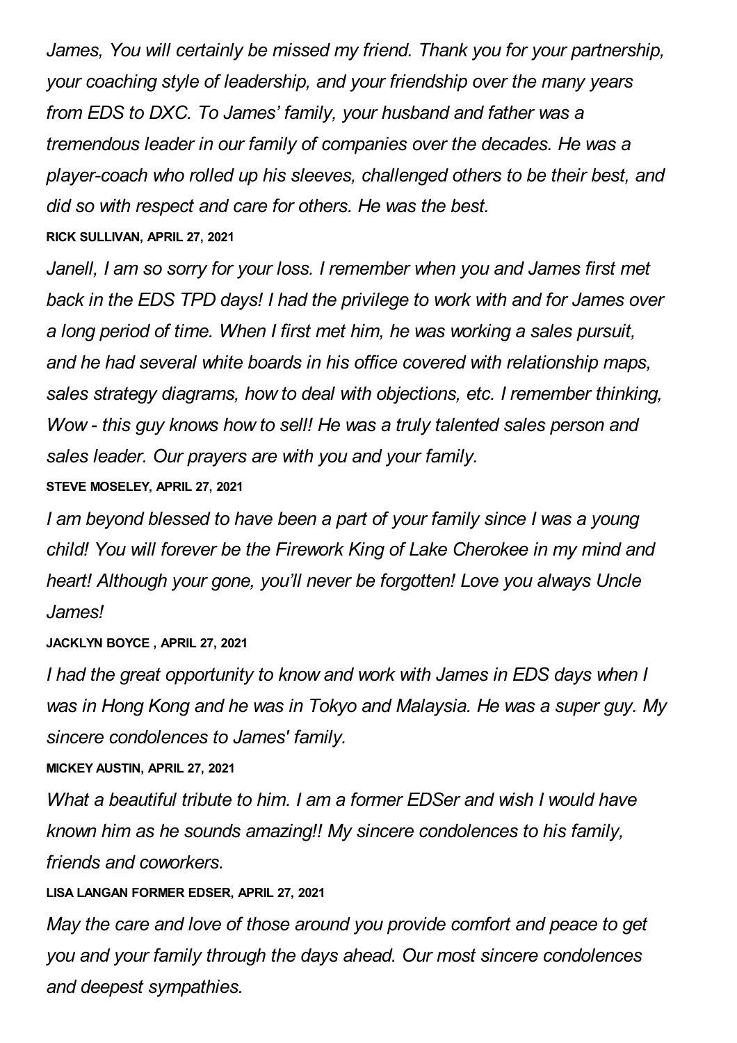*James, You will certainly be missed my friend. Thank you for your partnership, your coaching style of leadership, and your friendship over the many years from EDS to DXC. To James' family, your husband and father was a tremendous leader in our family of companies over the decades. He was a player-coach who rolled up his sleeves, challenged others to be their best, and did so with respect and care for others. He was the best.* **RICK SULLIVAN, APRIL 27, 2021**

*Janell, I am so sorry for your loss. I remember when you and James first met back in the EDS TPD days! I had the privilege to work with and for James over a long period of time. When I first met him, he was working a sales pursuit, and he had several white boards in his office covered with relationship maps, sales strategy diagrams, how to deal with objections, etc. I remember thinking, Wow - this guy knows how to sell! He was a truly talented sales person and sales leader. Our prayers are with you and your family.*

#### **STEVE MOSELEY, APRIL 27, 2021**

*I am beyond blessed to have been a part of your family since I was a young child! You will forever be the Firework King of Lake Cherokee in my mind and heart! Although your gone, you'll never be forgotten! Love you always Uncle James!*

#### **JACKLYN BOYCE , APRIL 27, 2021**

*I had the great opportunity to know and work with James in EDS days when I was in Hong Kong and he was in Tokyo and Malaysia. He was a super guy. My sincere condolences to James' family.*

#### **MICKEY AUSTIN, APRIL 27, 2021**

*What a beautiful tribute to him. I am a former EDSer and wish I would have known him as he sounds amazing!! My sincere condolences to his family, friends and coworkers.*

# **LISA LANGAN FORMER EDSER, APRIL 27, 2021**

*May the care and love of those around you provide comfort and peace to get you and your family through the days ahead. Our most sincere condolences and deepest sympathies.*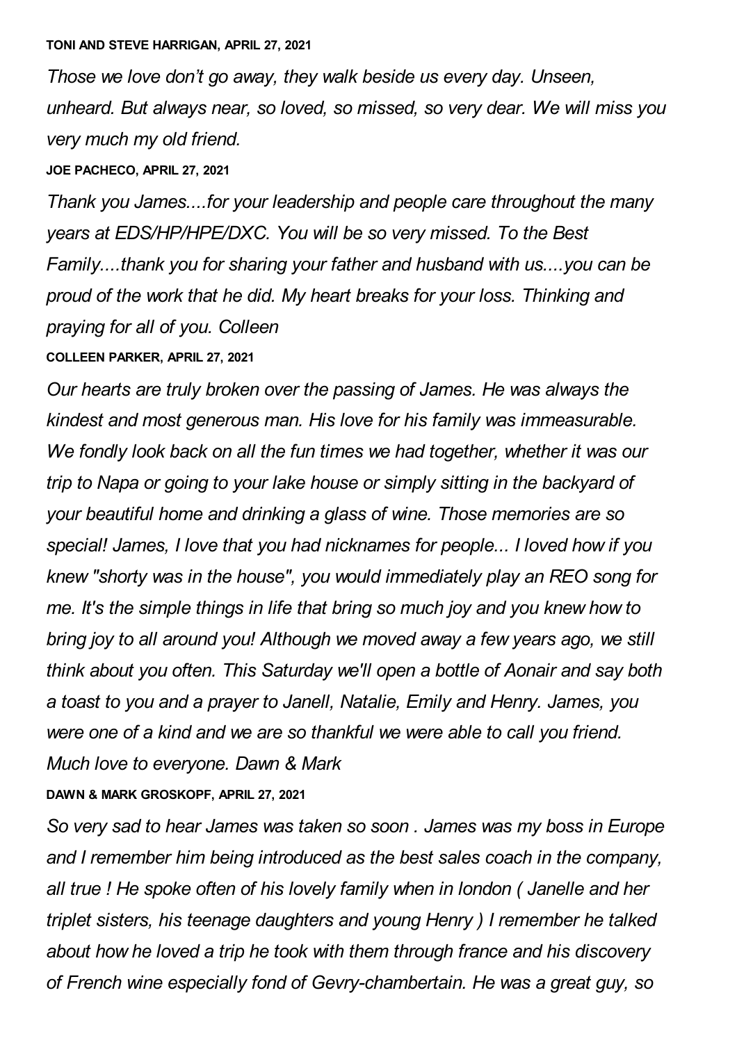*Those we love don't go away, they walk beside us every day. Unseen, unheard. But always near, so loved, so missed, so very dear. We will miss you very much my old friend.*

**JOE PACHECO, APRIL 27, 2021**

*Thank you James....for your leadership and people care throughout the many years at EDS/HP/HPE/DXC. You will be so very missed. To the Best Family....thank you for sharing your father and husband with us....you can be proud of the work that he did. My heart breaks for your loss. Thinking and praying for all of you. Colleen*

**COLLEEN PARKER, APRIL 27, 2021**

*Our hearts are truly broken over the passing of James. He was always the kindest and most generous man. His love for his family was immeasurable. We fondly look back on all the fun times we had together, whether it was our trip to Napa or going to your lake house or simply sitting in the backyard of your beautiful home and drinking a glass of wine. Those memories are so special! James, I love that you had nicknames for people... I loved how if you knew "shorty was in the house", you would immediately play an REO song for me. It's the simple things in life that bring so much joy and you knew how to bring joy to all around you! Although we moved away a few years ago, we still think about you often. This Saturday we'll open a bottle of Aonair and say both a toast to you and a prayer to Janell, Natalie, Emily and Henry. James, you were one of a kind and we are so thankful we were able to call you friend. Much love to everyone. Dawn & Mark*

**DAWN & MARK GROSKOPF, APRIL 27, 2021**

*So very sad to hear James was taken so soon . James was my boss in Europe and I remember him being introduced as the best sales coach in the company, all true ! He spoke often of his lovely family when in london ( Janelle and her triplet sisters, his teenage daughters and young Henry ) I remember he talked about how he loved a trip he took with them through france and his discovery of French wine especially fond of Gevry-chambertain. He was a great guy, so*